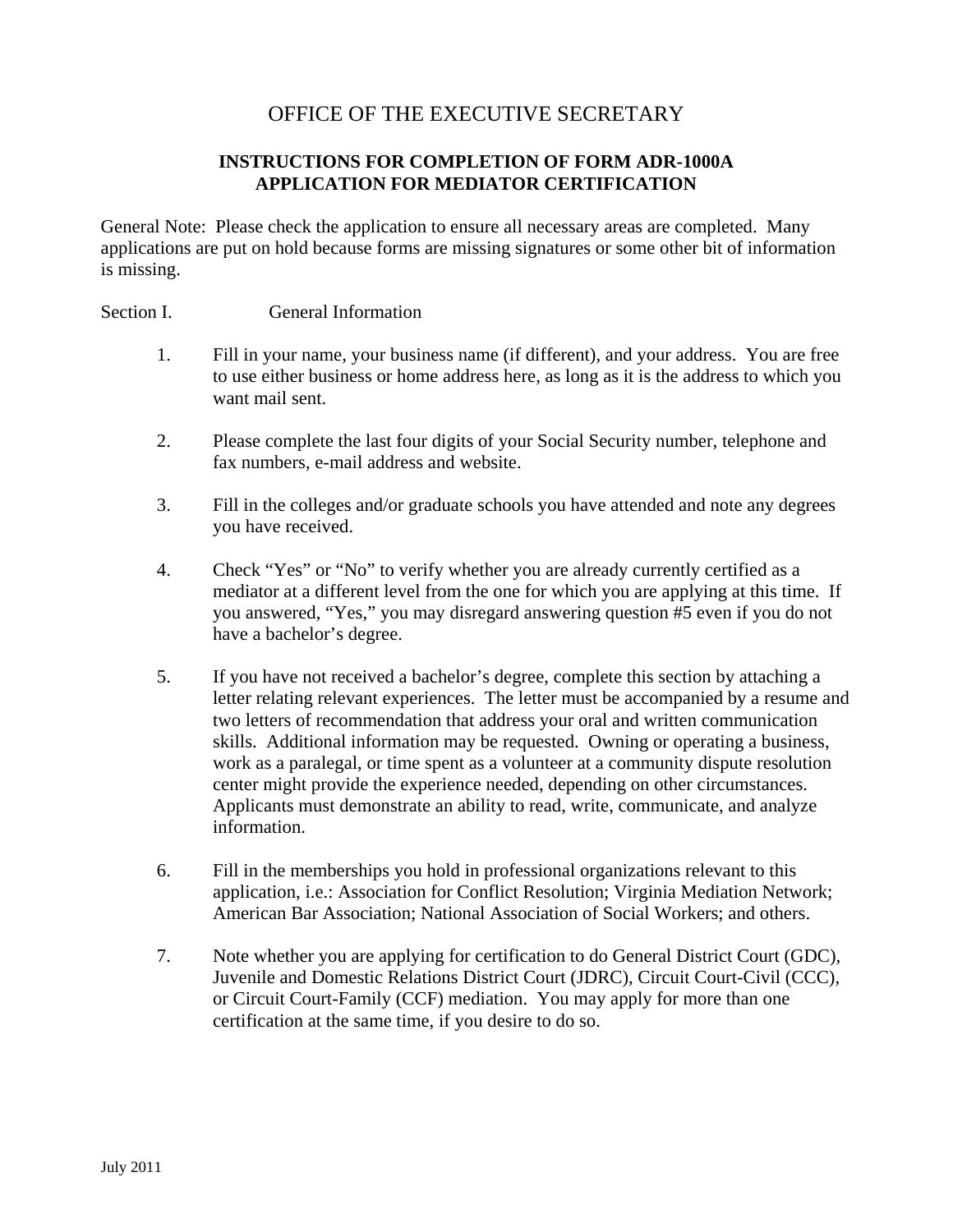# OFFICE OF THE EXECUTIVE SECRETARY

## **INSTRUCTIONS FOR COMPLETION OF FORM ADR-1000A APPLICATION FOR MEDIATOR CERTIFICATION**

General Note: Please check the application to ensure all necessary areas are completed. Many applications are put on hold because forms are missing signatures or some other bit of information is missing.

#### Section I. **General Information**

- 1. Fill in your name, your business name (if different), and your address. You are free to use either business or home address here, as long as it is the address to which you want mail sent.
- 2. Please complete the last four digits of your Social Security number, telephone and fax numbers, e-mail address and website.
- 3. Fill in the colleges and/or graduate schools you have attended and note any degrees you have received.
- 4. Check "Yes" or "No" to verify whether you are already currently certified as a mediator at a different level from the one for which you are applying at this time. If you answered, "Yes," you may disregard answering question #5 even if you do not have a bachelor's degree.
- 5. If you have not received a bachelor's degree, complete this section by attaching a letter relating relevant experiences. The letter must be accompanied by a resume and two letters of recommendation that address your oral and written communication skills. Additional information may be requested. Owning or operating a business, work as a paralegal, or time spent as a volunteer at a community dispute resolution center might provide the experience needed, depending on other circumstances. Applicants must demonstrate an ability to read, write, communicate, and analyze information.
- 6. Fill in the memberships you hold in professional organizations relevant to this application, i.e.: Association for Conflict Resolution; Virginia Mediation Network; American Bar Association; National Association of Social Workers; and others.
- 7. Note whether you are applying for certification to do General District Court (GDC), Juvenile and Domestic Relations District Court (JDRC), Circuit Court-Civil (CCC), or Circuit Court-Family (CCF) mediation. You may apply for more than one certification at the same time, if you desire to do so.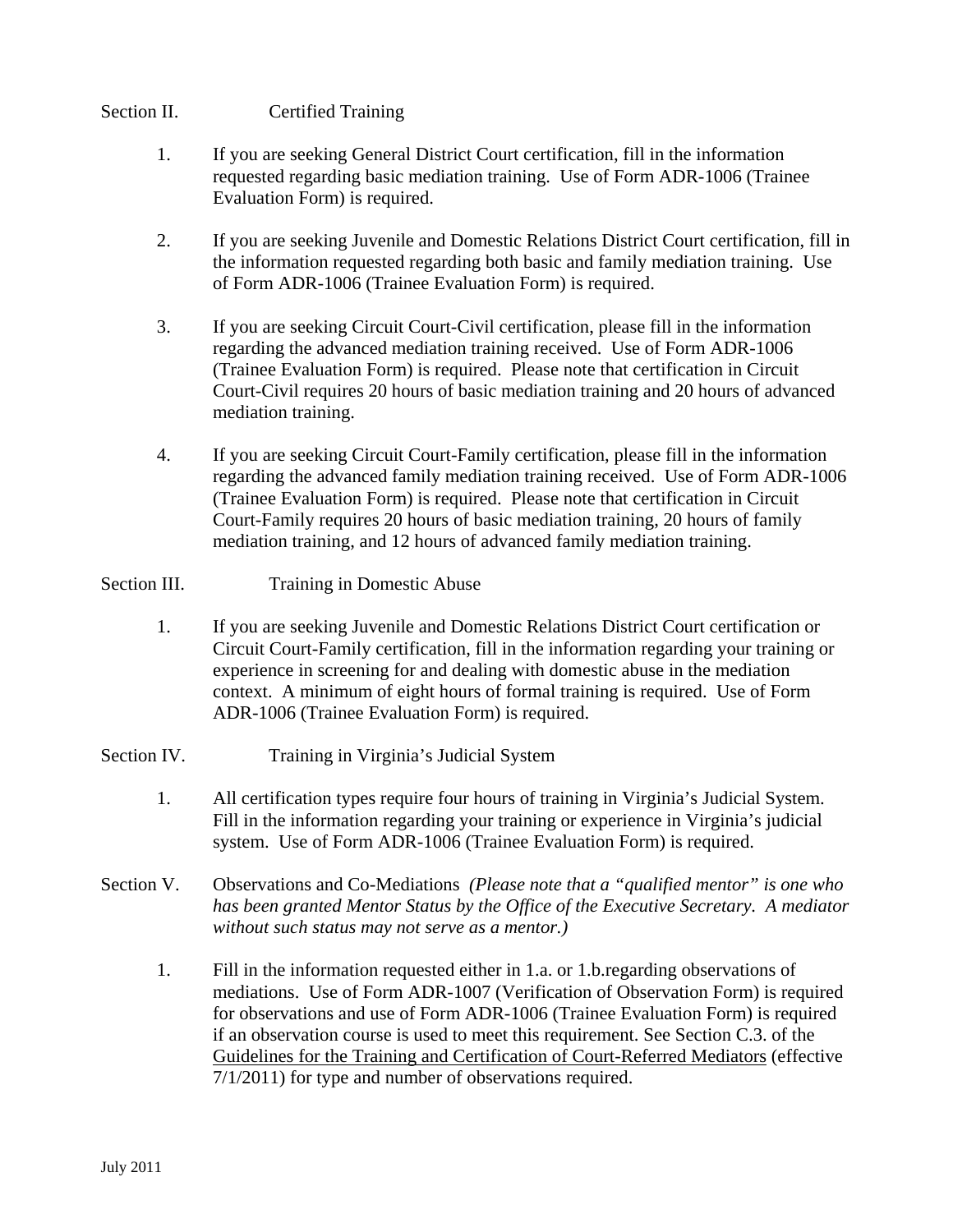## Section II. Certified Training

- 1. If you are seeking General District Court certification, fill in the information requested regarding basic mediation training. Use of Form ADR-1006 (Trainee Evaluation Form) is required.
- 2. If you are seeking Juvenile and Domestic Relations District Court certification, fill in the information requested regarding both basic and family mediation training. Use of Form ADR-1006 (Trainee Evaluation Form) is required.
- 3. If you are seeking Circuit Court-Civil certification, please fill in the information regarding the advanced mediation training received. Use of Form ADR-1006 (Trainee Evaluation Form) is required. Please note that certification in Circuit Court-Civil requires 20 hours of basic mediation training and 20 hours of advanced mediation training.
- 4. If you are seeking Circuit Court-Family certification, please fill in the information regarding the advanced family mediation training received. Use of Form ADR-1006 (Trainee Evaluation Form) is required. Please note that certification in Circuit Court-Family requires 20 hours of basic mediation training, 20 hours of family mediation training, and 12 hours of advanced family mediation training.

#### Section III. Training in Domestic Abuse

1. If you are seeking Juvenile and Domestic Relations District Court certification or Circuit Court-Family certification, fill in the information regarding your training or experience in screening for and dealing with domestic abuse in the mediation context. A minimum of eight hours of formal training is required. Use of Form ADR-1006 (Trainee Evaluation Form) is required.

## Section IV. Training in Virginia's Judicial System

- 1. All certification types require four hours of training in Virginia's Judicial System. Fill in the information regarding your training or experience in Virginia's judicial system. Use of Form ADR-1006 (Trainee Evaluation Form) is required.
- Section V. Observations and Co-Mediations *(Please note that a "qualified mentor" is one who has been granted Mentor Status by the Office of the Executive Secretary. A mediator without such status may not serve as a mentor.)*
	- 1. Fill in the information requested either in 1.a. or 1.b.regarding observations of mediations. Use of Form ADR-1007 (Verification of Observation Form) is required for observations and use of Form ADR-1006 (Trainee Evaluation Form) is required if an observation course is used to meet this requirement. See Section C.3. of the Guidelines for the Training and Certification of Court-Referred Mediators (effective 7/1/2011) for type and number of observations required.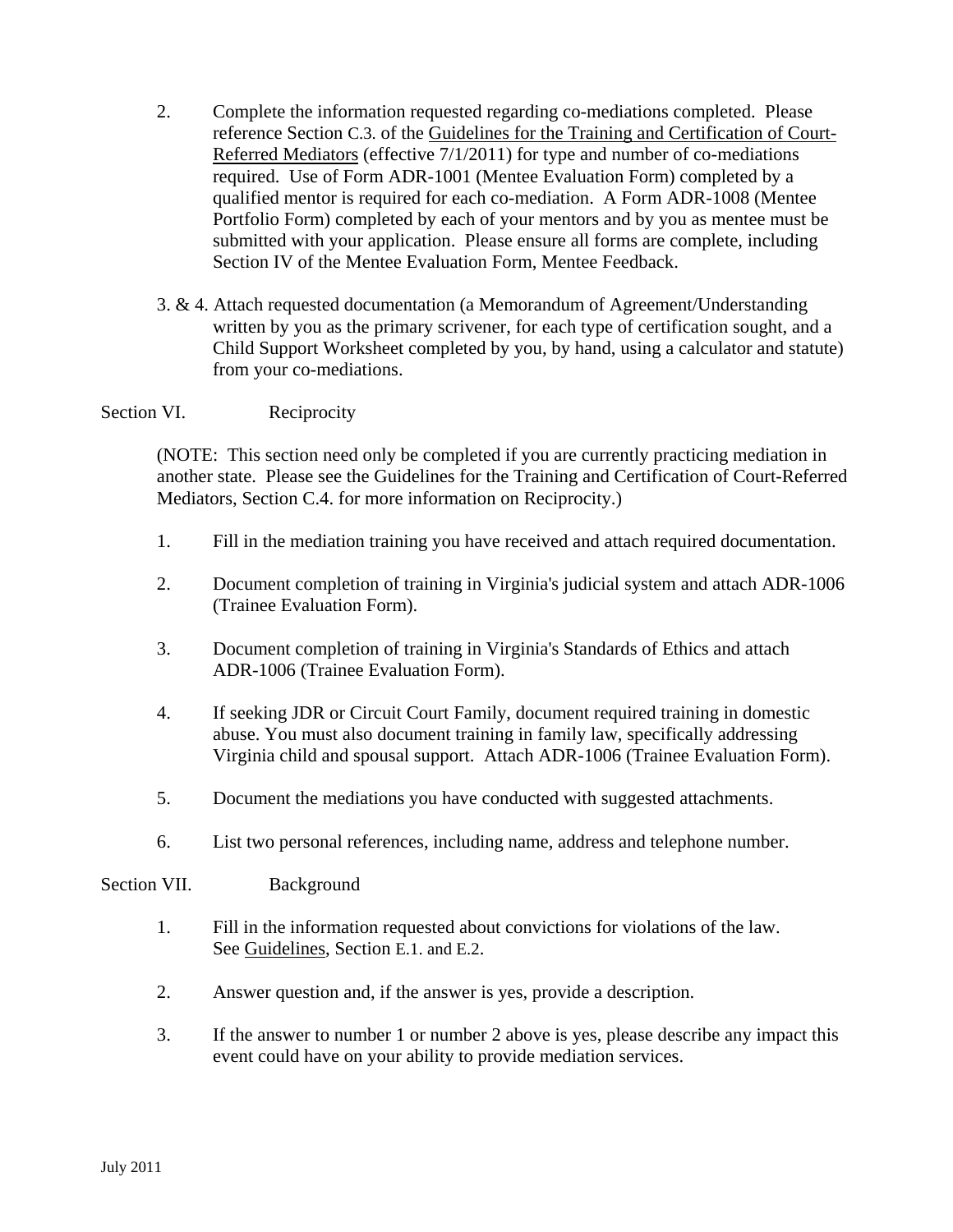- 2. Complete the information requested regarding co-mediations completed. Please reference Section C.3. of the Guidelines for the Training and Certification of Court-Referred Mediators (effective 7/1/2011) for type and number of co-mediations required. Use of Form ADR-1001 (Mentee Evaluation Form) completed by a qualified mentor is required for each co-mediation. A Form ADR-1008 (Mentee Portfolio Form) completed by each of your mentors and by you as mentee must be submitted with your application. Please ensure all forms are complete, including Section IV of the Mentee Evaluation Form, Mentee Feedback.
- 3. & 4. Attach requested documentation (a Memorandum of Agreement/Understanding written by you as the primary scrivener, for each type of certification sought, and a Child Support Worksheet completed by you, by hand, using a calculator and statute) from your co-mediations.

#### Section VI. Reciprocity

(NOTE: This section need only be completed if you are currently practicing mediation in another state. Please see the Guidelines for the Training and Certification of Court-Referred Mediators, Section C.4. for more information on Reciprocity.)

- 1. Fill in the mediation training you have received and attach required documentation.
- 2. Document completion of training in Virginia's judicial system and attach ADR-1006 (Trainee Evaluation Form).
- 3. Document completion of training in Virginia's Standards of Ethics and attach ADR-1006 (Trainee Evaluation Form).
- 4. If seeking JDR or Circuit Court Family, document required training in domestic abuse. You must also document training in family law, specifically addressing Virginia child and spousal support. Attach ADR-1006 (Trainee Evaluation Form).
- 5. Document the mediations you have conducted with suggested attachments.
- 6. List two personal references, including name, address and telephone number.

#### Section VII. Background

- 1. Fill in the information requested about convictions for violations of the law. See Guidelines, Section E.1. and E.2.
- 2. Answer question and, if the answer is yes, provide a description.
- 3. If the answer to number 1 or number 2 above is yes, please describe any impact this event could have on your ability to provide mediation services.